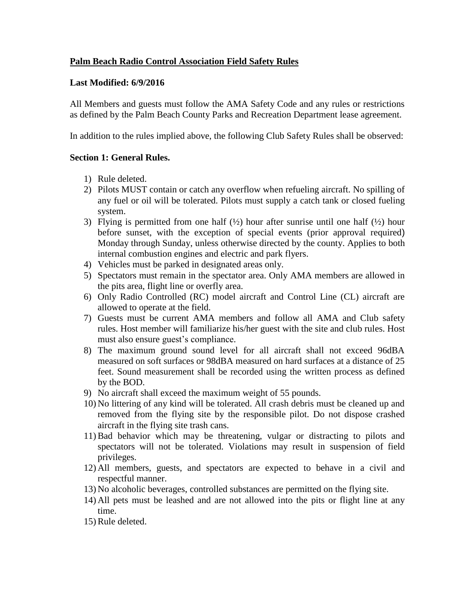## **Palm Beach Radio Control Association Field Safety Rules**

### **Last Modified: 6/9/2016**

All Members and guests must follow the AMA Safety Code and any rules or restrictions as defined by the Palm Beach County Parks and Recreation Department lease agreement.

In addition to the rules implied above, the following Club Safety Rules shall be observed:

### **Section 1: General Rules.**

- 1) Rule deleted.
- 2) Pilots MUST contain or catch any overflow when refueling aircraft. No spilling of any fuel or oil will be tolerated. Pilots must supply a catch tank or closed fueling system.
- 3) Flying is permitted from one half  $(\frac{1}{2})$  hour after sunrise until one half  $(\frac{1}{2})$  hour before sunset, with the exception of special events (prior approval required) Monday through Sunday, unless otherwise directed by the county. Applies to both internal combustion engines and electric and park flyers.
- 4) Vehicles must be parked in designated areas only.
- 5) Spectators must remain in the spectator area. Only AMA members are allowed in the pits area, flight line or overfly area.
- 6) Only Radio Controlled (RC) model aircraft and Control Line (CL) aircraft are allowed to operate at the field.
- 7) Guests must be current AMA members and follow all AMA and Club safety rules. Host member will familiarize his/her guest with the site and club rules. Host must also ensure guest's compliance.
- 8) The maximum ground sound level for all aircraft shall not exceed 96dBA measured on soft surfaces or 98dBA measured on hard surfaces at a distance of 25 feet. Sound measurement shall be recorded using the written process as defined by the BOD.
- 9) No aircraft shall exceed the maximum weight of 55 pounds.
- 10) No littering of any kind will be tolerated. All crash debris must be cleaned up and removed from the flying site by the responsible pilot. Do not dispose crashed aircraft in the flying site trash cans.
- 11) Bad behavior which may be threatening, vulgar or distracting to pilots and spectators will not be tolerated. Violations may result in suspension of field privileges.
- 12) All members, guests, and spectators are expected to behave in a civil and respectful manner.
- 13) No alcoholic beverages, controlled substances are permitted on the flying site.
- 14) All pets must be leashed and are not allowed into the pits or flight line at any time.
- 15) Rule deleted.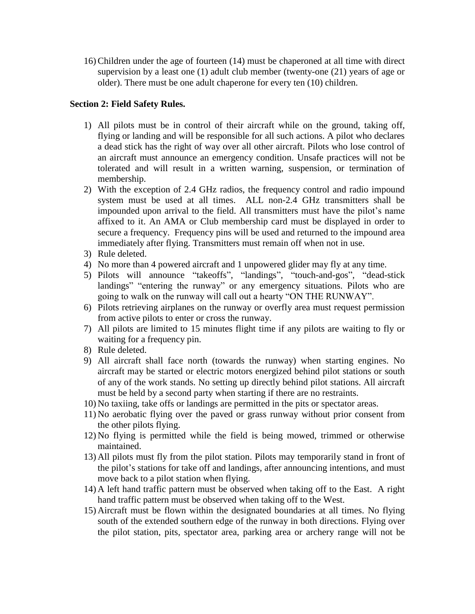16) Children under the age of fourteen (14) must be chaperoned at all time with direct supervision by a least one (1) adult club member (twenty-one (21) years of age or older). There must be one adult chaperone for every ten (10) children.

## **Section 2: Field Safety Rules.**

- 1) All pilots must be in control of their aircraft while on the ground, taking off, flying or landing and will be responsible for all such actions. A pilot who declares a dead stick has the right of way over all other aircraft. Pilots who lose control of an aircraft must announce an emergency condition. Unsafe practices will not be tolerated and will result in a written warning, suspension, or termination of membership.
- 2) With the exception of 2.4 GHz radios, the frequency control and radio impound system must be used at all times. ALL non-2.4 GHz transmitters shall be impounded upon arrival to the field. All transmitters must have the pilot's name affixed to it. An AMA or Club membership card must be displayed in order to secure a frequency. Frequency pins will be used and returned to the impound area immediately after flying. Transmitters must remain off when not in use.
- 3) Rule deleted.
- 4) No more than 4 powered aircraft and 1 unpowered glider may fly at any time.
- 5) Pilots will announce "takeoffs", "landings", "touch-and-gos", "dead-stick landings" "entering the runway" or any emergency situations. Pilots who are going to walk on the runway will call out a hearty "ON THE RUNWAY".
- 6) Pilots retrieving airplanes on the runway or overfly area must request permission from active pilots to enter or cross the runway.
- 7) All pilots are limited to 15 minutes flight time if any pilots are waiting to fly or waiting for a frequency pin.
- 8) Rule deleted.
- 9) All aircraft shall face north (towards the runway) when starting engines. No aircraft may be started or electric motors energized behind pilot stations or south of any of the work stands. No setting up directly behind pilot stations. All aircraft must be held by a second party when starting if there are no restraints.
- 10) No taxiing, take offs or landings are permitted in the pits or spectator areas.
- 11) No aerobatic flying over the paved or grass runway without prior consent from the other pilots flying.
- 12) No flying is permitted while the field is being mowed, trimmed or otherwise maintained.
- 13) All pilots must fly from the pilot station. Pilots may temporarily stand in front of the pilot's stations for take off and landings, after announcing intentions, and must move back to a pilot station when flying.
- 14) A left hand traffic pattern must be observed when taking off to the East. A right hand traffic pattern must be observed when taking off to the West.
- 15) Aircraft must be flown within the designated boundaries at all times. No flying south of the extended southern edge of the runway in both directions. Flying over the pilot station, pits, spectator area, parking area or archery range will not be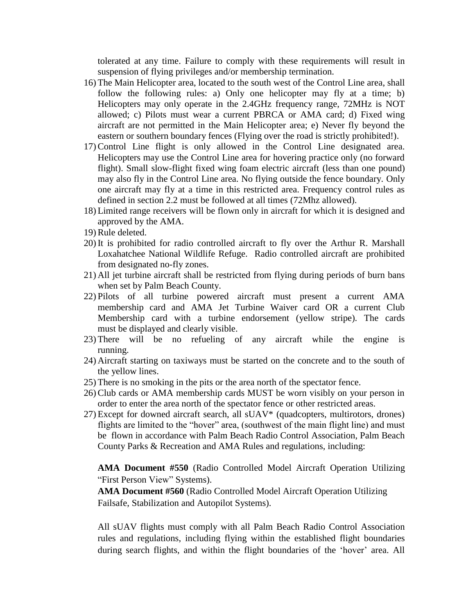tolerated at any time. Failure to comply with these requirements will result in suspension of flying privileges and/or membership termination.

- 16) The Main Helicopter area, located to the south west of the Control Line area, shall follow the following rules: a) Only one helicopter may fly at a time; b) Helicopters may only operate in the 2.4GHz frequency range, 72MHz is NOT allowed; c) Pilots must wear a current PBRCA or AMA card; d) Fixed wing aircraft are not permitted in the Main Helicopter area; e) Never fly beyond the eastern or southern boundary fences (Flying over the road is strictly prohibited!).
- 17) Control Line flight is only allowed in the Control Line designated area. Helicopters may use the Control Line area for hovering practice only (no forward flight). Small slow-flight fixed wing foam electric aircraft (less than one pound) may also fly in the Control Line area. No flying outside the fence boundary. Only one aircraft may fly at a time in this restricted area. Frequency control rules as defined in section 2.2 must be followed at all times (72Mhz allowed).
- 18) Limited range receivers will be flown only in aircraft for which it is designed and approved by the AMA.
- 19) Rule deleted.
- 20) It is prohibited for radio controlled aircraft to fly over the Arthur R. Marshall Loxahatchee National Wildlife Refuge. Radio controlled aircraft are prohibited from designated no-fly zones.
- 21) All jet turbine aircraft shall be restricted from flying during periods of burn bans when set by Palm Beach County.
- 22) Pilots of all turbine powered aircraft must present a current AMA membership card and AMA Jet Turbine Waiver card OR a current Club Membership card with a turbine endorsement (yellow stripe). The cards must be displayed and clearly visible.
- 23) There will be no refueling of any aircraft while the engine is running.
- 24) Aircraft starting on taxiways must be started on the concrete and to the south of the yellow lines.
- 25) There is no smoking in the pits or the area north of the spectator fence.
- 26) Club cards or AMA membership cards MUST be worn visibly on your person in order to enter the area north of the spectator fence or other restricted areas.
- $27$ ) Except for downed aircraft search, all  $sUAV*$  (quadcopters, multirotors, drones) flights are limited to the "hover" area, (southwest of the main flight line) and must be flown in accordance with Palm Beach Radio Control Association, Palm Beach County Parks & Recreation and AMA Rules and regulations, including:

**AMA Document #550** (Radio Controlled Model Aircraft Operation Utilizing "First Person View" Systems).

**AMA Document #560** (Radio Controlled Model Aircraft Operation Utilizing Failsafe, Stabilization and Autopilot Systems).

All sUAV flights must comply with all Palm Beach Radio Control Association rules and regulations, including flying within the established flight boundaries during search flights, and within the flight boundaries of the 'hover' area. All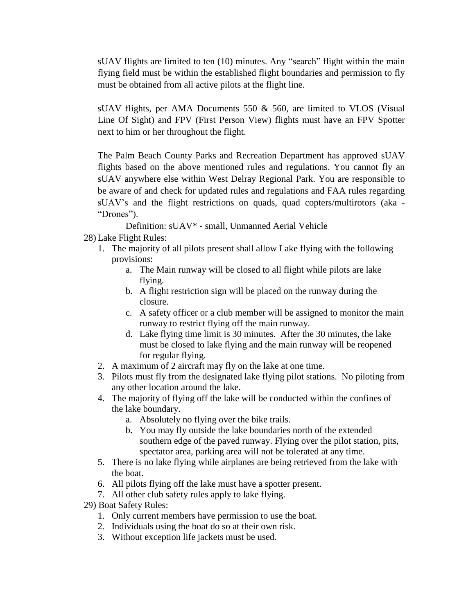sUAV flights are limited to ten (10) minutes. Any "search" flight within the main flying field must be within the established flight boundaries and permission to fly must be obtained from all active pilots at the flight line.

sUAV flights, per AMA Documents 550 & 560, are limited to VLOS (Visual Line Of Sight) and FPV (First Person View) flights must have an FPV Spotter next to him or her throughout the flight.

The Palm Beach County Parks and Recreation Department has approved sUAV flights based on the above mentioned rules and regulations. You cannot fly an sUAV anywhere else within West Delray Regional Park. You are responsible to be aware of and check for updated rules and regulations and FAA rules regarding sUAV's and the flight restrictions on quads, quad copters/multirotors (aka - "Drones").

Definition: sUAV\* - small, Unmanned Aerial Vehicle

- 28) Lake Flight Rules:
	- 1. The majority of all pilots present shall allow Lake flying with the following provisions:
		- a. The Main runway will be closed to all flight while pilots are lake flying.
		- b. A flight restriction sign will be placed on the runway during the closure.
		- c. A safety officer or a club member will be assigned to monitor the main runway to restrict flying off the main runway.
		- d. Lake flying time limit is 30 minutes. After the 30 minutes, the lake must be closed to lake flying and the main runway will be reopened for regular flying.
	- 2. A maximum of 2 aircraft may fly on the lake at one time.
	- 3. Pilots must fly from the designated lake flying pilot stations. No piloting from any other location around the lake.
	- 4. The majority of flying off the lake will be conducted within the confines of the lake boundary.
		- a. Absolutely no flying over the bike trails.
		- b. You may fly outside the lake boundaries north of the extended southern edge of the paved runway. Flying over the pilot station, pits, spectator area, parking area will not be tolerated at any time.
	- 5. There is no lake flying while airplanes are being retrieved from the lake with the boat.
	- 6. All pilots flying off the lake must have a spotter present.
	- 7. All other club safety rules apply to lake flying.
- 29) Boat Safety Rules:
	- 1. Only current members have permission to use the boat.
	- 2. Individuals using the boat do so at their own risk.
	- 3. Without exception life jackets must be used.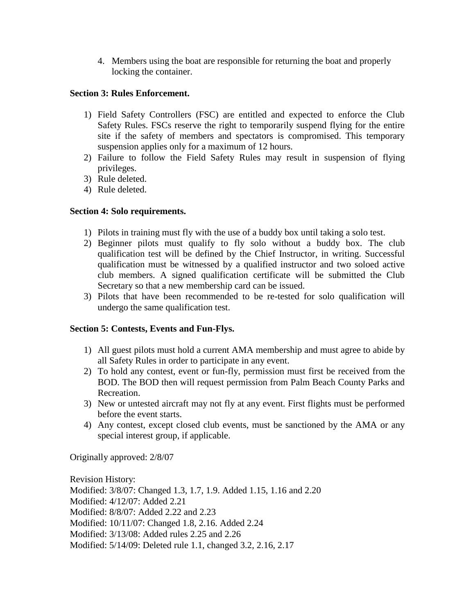4. Members using the boat are responsible for returning the boat and properly locking the container.

## **Section 3: Rules Enforcement.**

- 1) Field Safety Controllers (FSC) are entitled and expected to enforce the Club Safety Rules. FSCs reserve the right to temporarily suspend flying for the entire site if the safety of members and spectators is compromised. This temporary suspension applies only for a maximum of 12 hours.
- 2) Failure to follow the Field Safety Rules may result in suspension of flying privileges.
- 3) Rule deleted.
- 4) Rule deleted.

# **Section 4: Solo requirements.**

- 1) Pilots in training must fly with the use of a buddy box until taking a solo test.
- 2) Beginner pilots must qualify to fly solo without a buddy box. The club qualification test will be defined by the Chief Instructor, in writing. Successful qualification must be witnessed by a qualified instructor and two soloed active club members. A signed qualification certificate will be submitted the Club Secretary so that a new membership card can be issued.
- 3) Pilots that have been recommended to be re-tested for solo qualification will undergo the same qualification test.

# **Section 5: Contests, Events and Fun-Flys.**

- 1) All guest pilots must hold a current AMA membership and must agree to abide by all Safety Rules in order to participate in any event.
- 2) To hold any contest, event or fun-fly, permission must first be received from the BOD. The BOD then will request permission from Palm Beach County Parks and Recreation.
- 3) New or untested aircraft may not fly at any event. First flights must be performed before the event starts.
- 4) Any contest, except closed club events, must be sanctioned by the AMA or any special interest group, if applicable.

Originally approved: 2/8/07

Revision History: Modified: 3/8/07: Changed 1.3, 1.7, 1.9. Added 1.15, 1.16 and 2.20 Modified: 4/12/07: Added 2.21 Modified: 8/8/07: Added 2.22 and 2.23 Modified: 10/11/07: Changed 1.8, 2.16. Added 2.24 Modified: 3/13/08: Added rules 2.25 and 2.26 Modified: 5/14/09: Deleted rule 1.1, changed 3.2, 2.16, 2.17